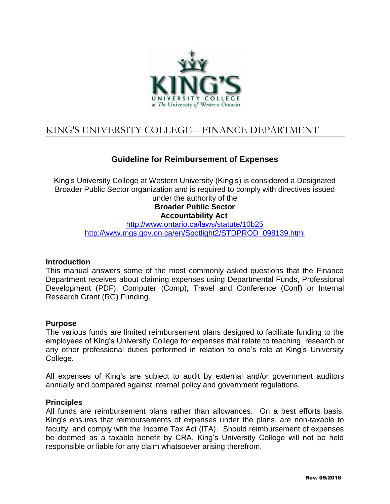

# KING'S UNIVERSITY COLLEGE – FINANCE DEPARTMENT

# **Guideline for Reimbursement of Expenses**

King's University College at Western University (King's) is considered a Designated Broader Public Sector organization and is required to comply with directives issued

under the authority of the **Broader Public Sector Accountability Act**

<http://www.ontario.ca/laws/statute/10b25> [http://www.mgs.gov.on.ca/en/Spotlight2/STDPROD\\_098139.html](http://www.mgs.gov.on.ca/en/Spotlight2/STDPROD_098139.html)

#### **Introduction**

This manual answers some of the most commonly asked questions that the Finance Department receives about claiming expenses using Departmental Funds, Professional Development (PDF), Computer (Comp), Travel and Conference (Conf) or Internal Research Grant (RG) Funding.

#### **Purpose**

The various funds are limited reimbursement plans designed to facilitate funding to the employees of King's University College for expenses that relate to teaching, research or any other professional duties performed in relation to one's role at King's University College.

All expenses of King's are subject to audit by external and/or government auditors annually and compared against internal policy and government regulations.

#### **Principles**

All funds are reimbursement plans rather than allowances. On a best efforts basis, King's ensures that reimbursements of expenses under the plans, are non-taxable to faculty, and comply with the Income Tax Act (ITA). Should reimbursement of expenses be deemed as a taxable benefit by CRA, King's University College will not be held responsible or liable for any claim whatsoever arising therefrom.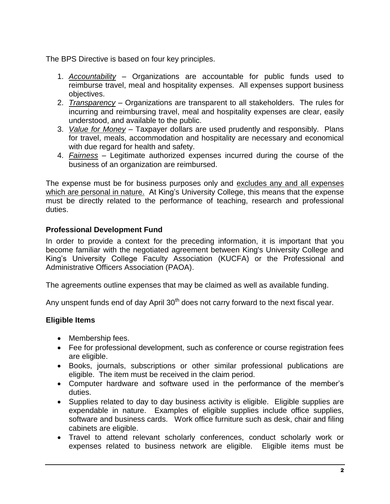The BPS Directive is based on four key principles.

- 1. *Accountability* Organizations are accountable for public funds used to reimburse travel, meal and hospitality expenses. All expenses support business objectives.
- 2. *Transparency* Organizations are transparent to all stakeholders. The rules for incurring and reimbursing travel, meal and hospitality expenses are clear, easily understood, and available to the public.
- 3. *Value for Money* Taxpayer dollars are used prudently and responsibly. Plans for travel, meals, accommodation and hospitality are necessary and economical with due regard for health and safety.
- 4. *Fairness* Legitimate authorized expenses incurred during the course of the business of an organization are reimbursed.

The expense must be for business purposes only and excludes any and all expenses which are personal in nature. At King's University College, this means that the expense must be directly related to the performance of teaching, research and professional duties.

# **Professional Development Fund**

In order to provide a context for the preceding information, it is important that you become familiar with the negotiated agreement between King's University College and King's University College Faculty Association (KUCFA) or the Professional and Administrative Officers Association (PAOA).

The agreements outline expenses that may be claimed as well as available funding.

Any unspent funds end of day April  $30<sup>th</sup>$  does not carry forward to the next fiscal year.

# **Eligible Items**

- Membership fees.
- Fee for professional development, such as conference or course registration fees are eligible.
- Books, journals, subscriptions or other similar professional publications are eligible. The item must be received in the claim period.
- Computer hardware and software used in the performance of the member's duties.
- Supplies related to day to day business activity is eligible. Eligible supplies are expendable in nature. Examples of eligible supplies include office supplies, software and business cards. Work office furniture such as desk, chair and filing cabinets are eligible.
- Travel to attend relevant scholarly conferences, conduct scholarly work or expenses related to business network are eligible. Eligible items must be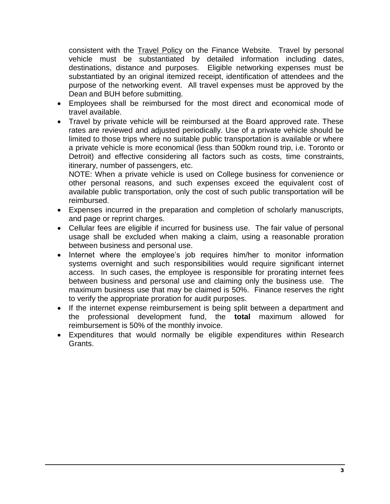consistent with the Travel Policy on the Finance Website. Travel by personal vehicle must be substantiated by detailed information including dates, destinations, distance and purposes. Eligible networking expenses must be substantiated by an original itemized receipt, identification of attendees and the purpose of the networking event. All travel expenses must be approved by the Dean and BUH before submitting.

- Employees shall be reimbursed for the most direct and economical mode of travel available.
- Travel by private vehicle will be reimbursed at the Board approved rate. These rates are reviewed and adjusted periodically. Use of a private vehicle should be limited to those trips where no suitable public transportation is available or where a private vehicle is more economical (less than 500km round trip, i.e. Toronto or Detroit) and effective considering all factors such as costs, time constraints, itinerary, number of passengers, etc.

NOTE: When a private vehicle is used on College business for convenience or other personal reasons, and such expenses exceed the equivalent cost of available public transportation, only the cost of such public transportation will be reimbursed.

- Expenses incurred in the preparation and completion of scholarly manuscripts, and page or reprint charges.
- Cellular fees are eligible if incurred for business use. The fair value of personal usage shall be excluded when making a claim, using a reasonable proration between business and personal use.
- Internet where the employee's job requires him/her to monitor information systems overnight and such responsibilities would require significant internet access. In such cases, the employee is responsible for prorating internet fees between business and personal use and claiming only the business use. The maximum business use that may be claimed is 50%. Finance reserves the right to verify the appropriate proration for audit purposes.
- If the internet expense reimbursement is being split between a department and the professional development fund, the **total** maximum allowed for reimbursement is 50% of the monthly invoice.
- Expenditures that would normally be eligible expenditures within Research Grants.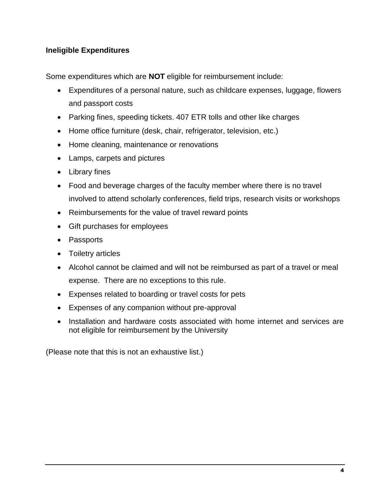# **Ineligible Expenditures**

Some expenditures which are **NOT** eligible for reimbursement include:

- Expenditures of a personal nature, such as childcare expenses, luggage, flowers and passport costs
- Parking fines, speeding tickets. 407 ETR tolls and other like charges
- Home office furniture (desk, chair, refrigerator, television, etc.)
- Home cleaning, maintenance or renovations
- Lamps, carpets and pictures
- Library fines
- Food and beverage charges of the faculty member where there is no travel involved to attend scholarly conferences, field trips, research visits or workshops
- Reimbursements for the value of travel reward points
- Gift purchases for employees
- Passports
- Toiletry articles
- Alcohol cannot be claimed and will not be reimbursed as part of a travel or meal expense. There are no exceptions to this rule.
- Expenses related to boarding or travel costs for pets
- Expenses of any companion without pre-approval
- Installation and hardware costs associated with home internet and services are not eligible for reimbursement by the University

(Please note that this is not an exhaustive list.)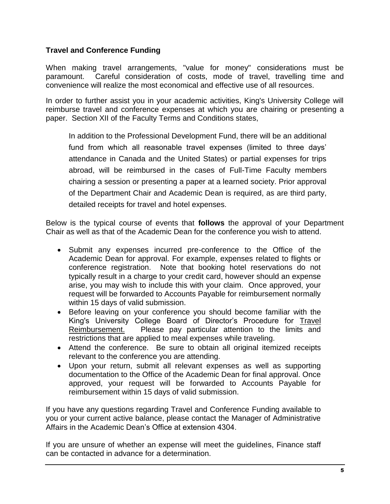# **Travel and Conference Funding**

When making travel arrangements, "value for money" considerations must be paramount. Careful consideration of costs, mode of travel, travelling time and convenience will realize the most economical and effective use of all resources.

In order to further assist you in your academic activities, King's University College will reimburse travel and conference expenses at which you are chairing or presenting a paper. Section XII of the Faculty Terms and Conditions states,

In addition to the Professional Development Fund, there will be an additional fund from which all reasonable travel expenses (limited to three days' attendance in Canada and the United States) or partial expenses for trips abroad, will be reimbursed in the cases of Full-Time Faculty members chairing a session or presenting a paper at a learned society. Prior approval of the Department Chair and Academic Dean is required, as are third party, detailed receipts for travel and hotel expenses.

Below is the typical course of events that **follows** the approval of your Department Chair as well as that of the Academic Dean for the conference you wish to attend.

- Submit any expenses incurred pre-conference to the Office of the Academic Dean for approval. For example, expenses related to flights or conference registration. Note that booking hotel reservations do not typically result in a charge to your credit card, however should an expense arise, you may wish to include this with your claim. Once approved, your request will be forwarded to Accounts Payable for reimbursement normally within 15 days of valid submission.
- Before leaving on your conference you should become familiar with the King's University College Board of Director's Procedure for Travel Reimbursement. Please pay particular attention to the limits and restrictions that are applied to meal expenses while traveling.
- Attend the conference. Be sure to obtain all original itemized receipts relevant to the conference you are attending.
- Upon your return, submit all relevant expenses as well as supporting documentation to the Office of the Academic Dean for final approval. Once approved, your request will be forwarded to Accounts Payable for reimbursement within 15 days of valid submission.

If you have any questions regarding Travel and Conference Funding available to you or your current active balance, please contact the Manager of Administrative Affairs in the Academic Dean's Office at extension 4304.

If you are unsure of whether an expense will meet the guidelines, Finance staff can be contacted in advance for a determination.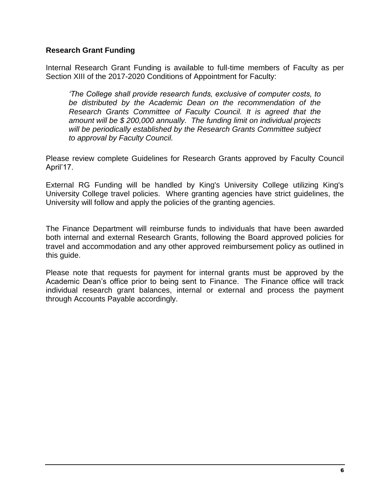#### **Research Grant Funding**

Internal Research Grant Funding is available to full-time members of Faculty as per Section XIII of the 2017-2020 Conditions of Appointment for Faculty:

*'The College shall provide research funds, exclusive of computer costs, to be distributed by the Academic Dean on the recommendation of the Research Grants Committee of Faculty Council. It is agreed that the amount will be \$ 200,000 annually. The funding limit on individual projects will be periodically established by the Research Grants Committee subject to approval by Faculty Council.*

Please review complete Guidelines for Research Grants approved by Faculty Council April'17.

External RG Funding will be handled by King's University College utilizing King's University College travel policies. Where granting agencies have strict guidelines, the University will follow and apply the policies of the granting agencies.

The Finance Department will reimburse funds to individuals that have been awarded both internal and external Research Grants, following the Board approved policies for travel and accommodation and any other approved reimbursement policy as outlined in this guide.

Please note that requests for payment for internal grants must be approved by the Academic Dean's office prior to being sent to Finance. The Finance office will track individual research grant balances, internal or external and process the payment through Accounts Payable accordingly.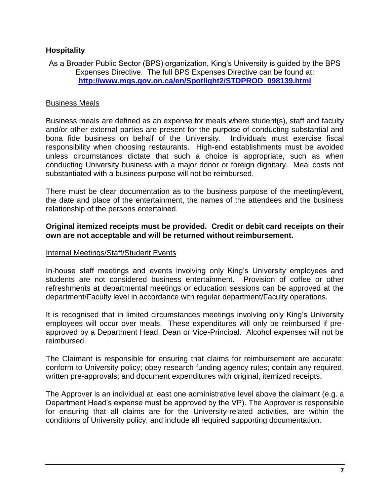# **Hospitality**

As a Broader Public Sector (BPS) organization, King's University is guided by the BPS Expenses Directive. The full BPS Expenses Directive can be found at: **[http://www.mgs.gov.on.ca/en/Spotlight2/STDPROD\\_098139.html](http://www.mgs.gov.on.ca/en/Spotlight2/STDPROD_098139.html)**

# Business Meals

Business meals are defined as an expense for meals where student(s), staff and faculty and/or other external parties are present for the purpose of conducting substantial and bona fide business on behalf of the University. Individuals must exercise fiscal responsibility when choosing restaurants. High-end establishments must be avoided unless circumstances dictate that such a choice is appropriate, such as when conducting University business with a major donor or foreign dignitary. Meal costs not substantiated with a business purpose will not be reimbursed.

There must be clear documentation as to the business purpose of the meeting/event, the date and place of the entertainment, the names of the attendees and the business relationship of the persons entertained.

#### **Original itemized receipts must be provided. Credit or debit card receipts on their own are not acceptable and will be returned without reimbursement.**

#### Internal Meetings/Staff/Student Events

In-house staff meetings and events involving only King's University employees and students are not considered business entertainment. Provision of coffee or other refreshments at departmental meetings or education sessions can be approved at the department/Faculty level in accordance with regular department/Faculty operations.

It is recognised that in limited circumstances meetings involving only King's University employees will occur over meals. These expenditures will only be reimbursed if preapproved by a Department Head, Dean or Vice-Principal. Alcohol expenses will not be reimbursed.

The Claimant is responsible for ensuring that claims for reimbursement are accurate; conform to University policy; obey research funding agency rules; contain any required, written pre-approvals; and document expenditures with original, itemized receipts.

The Approver is an individual at least one administrative level above the claimant (e.g. a Department Head's expense must be approved by the VP). The Approver is responsible for ensuring that all claims are for the University-related activities, are within the conditions of University policy, and include all required supporting documentation.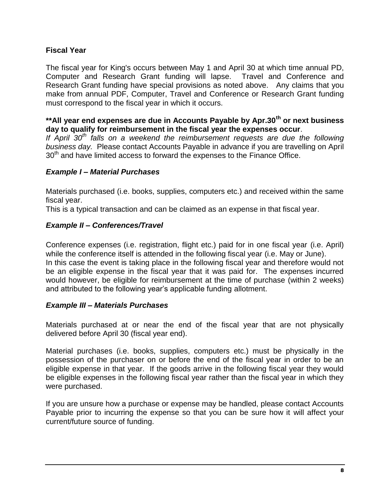# **Fiscal Year**

The fiscal year for King's occurs between May 1 and April 30 at which time annual PD, Computer and Research Grant funding will lapse. Travel and Conference and Research Grant funding have special provisions as noted above. Any claims that you make from annual PDF, Computer, Travel and Conference or Research Grant funding must correspond to the fiscal year in which it occurs.

**\*\*All year end expenses are due in Accounts Payable by Apr.30th or next business day to qualify for reimbursement in the fiscal year the expenses occur**.

*If April 30th falls on a weekend the reimbursement requests are due the following business day.* Please contact Accounts Payable in advance if you are travelling on April  $30<sup>th</sup>$  and have limited access to forward the expenses to the Finance Office.

#### *Example I – Material Purchases*

Materials purchased (i.e. books, supplies, computers etc.) and received within the same fiscal year.

This is a typical transaction and can be claimed as an expense in that fiscal year.

# *Example II – Conferences/Travel*

Conference expenses (i.e. registration, flight etc.) paid for in one fiscal year (i.e. April) while the conference itself is attended in the following fiscal year (i.e. May or June). In this case the event is taking place in the following fiscal year and therefore would not be an eligible expense in the fiscal year that it was paid for. The expenses incurred would however, be eligible for reimbursement at the time of purchase (within 2 weeks) and attributed to the following year's applicable funding allotment.

# *Example III – Materials Purchases*

Materials purchased at or near the end of the fiscal year that are not physically delivered before April 30 (fiscal year end).

Material purchases (i.e. books, supplies, computers etc.) must be physically in the possession of the purchaser on or before the end of the fiscal year in order to be an eligible expense in that year. If the goods arrive in the following fiscal year they would be eligible expenses in the following fiscal year rather than the fiscal year in which they were purchased.

If you are unsure how a purchase or expense may be handled, please contact Accounts Payable prior to incurring the expense so that you can be sure how it will affect your current/future source of funding.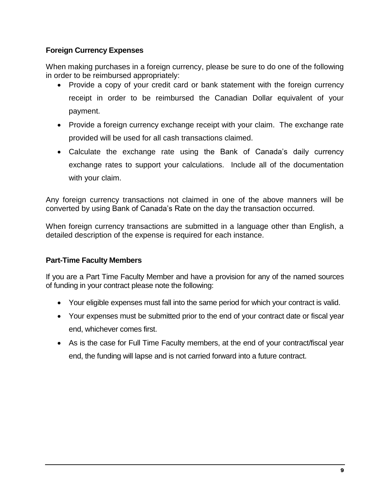# **Foreign Currency Expenses**

When making purchases in a foreign currency, please be sure to do one of the following in order to be reimbursed appropriately:

- Provide a copy of your credit card or bank statement with the foreign currency receipt in order to be reimbursed the Canadian Dollar equivalent of your payment.
- Provide a foreign currency exchange receipt with your claim. The exchange rate provided will be used for all cash transactions claimed.
- Calculate the exchange rate using the Bank of Canada's daily currency exchange rates to support your calculations. Include all of the documentation with your claim.

Any foreign currency transactions not claimed in one of the above manners will be converted by using Bank of Canada's Rate on the day the transaction occurred.

When foreign currency transactions are submitted in a language other than English, a detailed description of the expense is required for each instance.

# **Part-Time Faculty Members**

If you are a Part Time Faculty Member and have a provision for any of the named sources of funding in your contract please note the following:

- Your eligible expenses must fall into the same period for which your contract is valid.
- Your expenses must be submitted prior to the end of your contract date or fiscal year end, whichever comes first.
- As is the case for Full Time Faculty members, at the end of your contract/fiscal year end, the funding will lapse and is not carried forward into a future contract.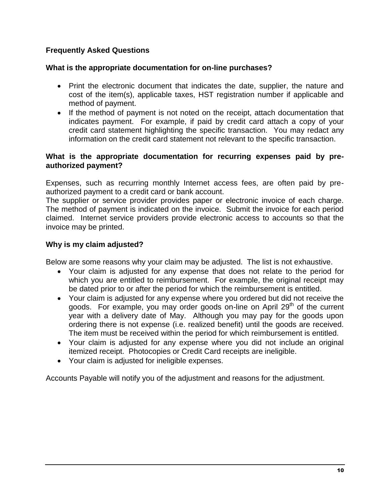# **Frequently Asked Questions**

# **What is the appropriate documentation for on-line purchases?**

- Print the electronic document that indicates the date, supplier, the nature and cost of the item(s), applicable taxes, HST registration number if applicable and method of payment.
- If the method of payment is not noted on the receipt, attach documentation that indicates payment. For example, if paid by credit card attach a copy of your credit card statement highlighting the specific transaction. You may redact any information on the credit card statement not relevant to the specific transaction.

#### **What is the appropriate documentation for recurring expenses paid by preauthorized payment?**

Expenses, such as recurring monthly Internet access fees, are often paid by preauthorized payment to a credit card or bank account.

The supplier or service provider provides paper or electronic invoice of each charge. The method of payment is indicated on the invoice. Submit the invoice for each period claimed. Internet service providers provide electronic access to accounts so that the invoice may be printed.

# **Why is my claim adjusted?**

Below are some reasons why your claim may be adjusted. The list is not exhaustive.

- Your claim is adjusted for any expense that does not relate to the period for which you are entitled to reimbursement. For example, the original receipt may be dated prior to or after the period for which the reimbursement is entitled.
- Your claim is adjusted for any expense where you ordered but did not receive the goods. For example, you may order goods on-line on April 29<sup>th</sup> of the current year with a delivery date of May. Although you may pay for the goods upon ordering there is not expense (i.e. realized benefit) until the goods are received. The item must be received within the period for which reimbursement is entitled.
- Your claim is adjusted for any expense where you did not include an original itemized receipt. Photocopies or Credit Card receipts are ineligible.
- Your claim is adjusted for ineligible expenses.

Accounts Payable will notify you of the adjustment and reasons for the adjustment.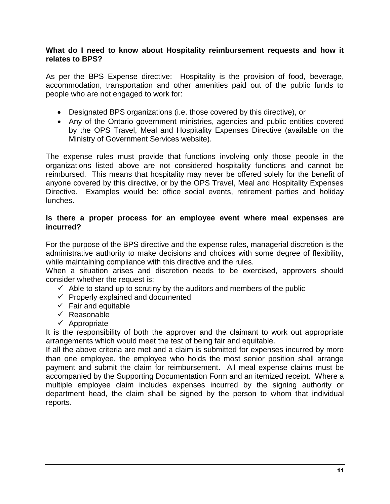#### **What do I need to know about Hospitality reimbursement requests and how it relates to BPS?**

As per the BPS Expense directive: Hospitality is the provision of food, beverage, accommodation, transportation and other amenities paid out of the public funds to people who are not engaged to work for:

- Designated BPS organizations (i.e. those covered by this directive), or
- Any of the Ontario government ministries, agencies and public entities covered by the OPS Travel, Meal and Hospitality Expenses Directive (available on the Ministry of Government Services website).

The expense rules must provide that functions involving only those people in the organizations listed above are not considered hospitality functions and cannot be reimbursed. This means that hospitality may never be offered solely for the benefit of anyone covered by this directive, or by the OPS Travel, Meal and Hospitality Expenses Directive. Examples would be: office social events, retirement parties and holiday lunches.

#### **Is there a proper process for an employee event where meal expenses are incurred?**

For the purpose of the BPS directive and the expense rules, managerial discretion is the administrative authority to make decisions and choices with some degree of flexibility, while maintaining compliance with this directive and the rules.

When a situation arises and discretion needs to be exercised, approvers should consider whether the request is:

- $\checkmark$  Able to stand up to scrutiny by the auditors and members of the public
- $\checkmark$  Properly explained and documented
- $\checkmark$  Fair and equitable
- $\checkmark$  Reasonable
- $\checkmark$  Appropriate

It is the responsibility of both the approver and the claimant to work out appropriate arrangements which would meet the test of being fair and equitable.

If all the above criteria are met and a claim is submitted for expenses incurred by more than one employee, the employee who holds the most senior position shall arrange payment and submit the claim for reimbursement. All meal expense claims must be accompanied by the Supporting Documentation Form and an itemized receipt. Where a multiple employee claim includes expenses incurred by the signing authority or department head, the claim shall be signed by the person to whom that individual reports.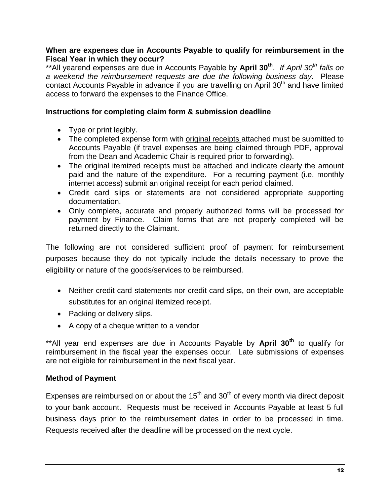#### **When are expenses due in Accounts Payable to qualify for reimbursement in the Fiscal Year in which they occur?**

\*\*All yearend expenses are due in Accounts Payable by **April 30th** . *If April 30th falls on a weekend the reimbursement requests are due the following business day.* Please contact Accounts Payable in advance if you are travelling on April 30<sup>th</sup> and have limited access to forward the expenses to the Finance Office.

#### **Instructions for completing claim form & submission deadline**

- Type or print legibly.
- The completed expense form with original receipts attached must be submitted to Accounts Payable (if travel expenses are being claimed through PDF, approval from the Dean and Academic Chair is required prior to forwarding).
- The original itemized receipts must be attached and indicate clearly the amount paid and the nature of the expenditure. For a recurring payment (i.e. monthly internet access) submit an original receipt for each period claimed.
- Credit card slips or statements are not considered appropriate supporting documentation.
- Only complete, accurate and properly authorized forms will be processed for payment by Finance. Claim forms that are not properly completed will be returned directly to the Claimant.

The following are not considered sufficient proof of payment for reimbursement purposes because they do not typically include the details necessary to prove the eligibility or nature of the goods/services to be reimbursed.

- Neither credit card statements nor credit card slips, on their own, are acceptable substitutes for an original itemized receipt.
- Packing or delivery slips.
- A copy of a cheque written to a vendor

\*\*All year end expenses are due in Accounts Payable by **April 30th** to qualify for reimbursement in the fiscal year the expenses occur. Late submissions of expenses are not eligible for reimbursement in the next fiscal year.

# **Method of Payment**

Expenses are reimbursed on or about the  $15<sup>th</sup>$  and  $30<sup>th</sup>$  of every month via direct deposit to your bank account. Requests must be received in Accounts Payable at least 5 full business days prior to the reimbursement dates in order to be processed in time. Requests received after the deadline will be processed on the next cycle.